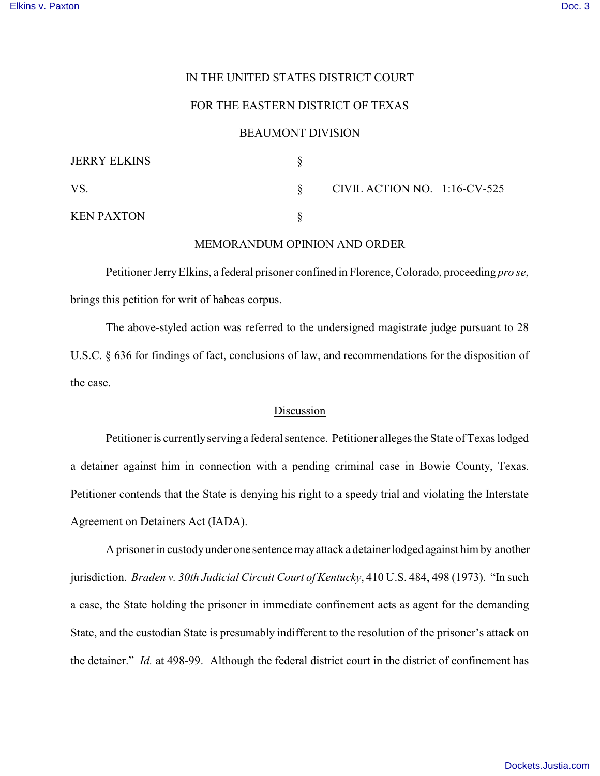## IN THE UNITED STATES DISTRICT COURT

# FOR THE EASTERN DISTRICT OF TEXAS

#### BEAUMONT DIVISION

| <b>JERRY ELKINS</b> |                              |  |
|---------------------|------------------------------|--|
| VS.                 | CIVIL ACTION NO. 1:16-CV-525 |  |
| <b>KEN PAXTON</b>   |                              |  |

#### MEMORANDUM OPINION AND ORDER

Petitioner Jerry Elkins, a federal prisoner confined in Florence, Colorado, proceeding *pro se*, brings this petition for writ of habeas corpus.

The above-styled action was referred to the undersigned magistrate judge pursuant to 28 U.S.C. § 636 for findings of fact, conclusions of law, and recommendations for the disposition of the case.

## Discussion

Petitioner is currently serving a federal sentence. Petitioner alleges the State of Texas lodged a detainer against him in connection with a pending criminal case in Bowie County, Texas. Petitioner contends that the State is denying his right to a speedy trial and violating the Interstate Agreement on Detainers Act (IADA).

 A prisoner in custody under one sentence may attack a detainer lodged against him by another jurisdiction. *Braden v. 30th Judicial Circuit Court of Kentucky*, 410 U.S. 484, 498 (1973). "In such a case, the State holding the prisoner in immediate confinement acts as agent for the demanding State, and the custodian State is presumably indifferent to the resolution of the prisoner's attack on the detainer." *Id.* at 498-99. Although the federal district court in the district of confinement has